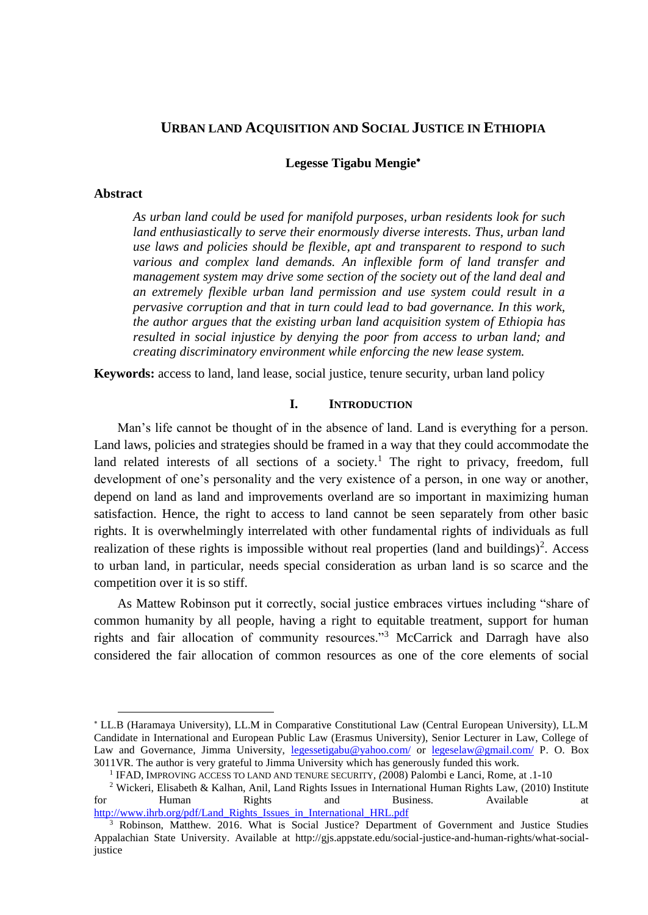# **URBAN LAND ACQUISITION AND SOCIAL JUSTICE IN ETHIOPIA**

**Legesse Tigabu Mengie**

#### **Abstract**

1

*As urban land could be used for manifold purposes, urban residents look for such land enthusiastically to serve their enormously diverse interests. Thus, urban land use laws and policies should be flexible, apt and transparent to respond to such various and complex land demands. An inflexible form of land transfer and management system may drive some section of the society out of the land deal and an extremely flexible urban land permission and use system could result in a pervasive corruption and that in turn could lead to bad governance. In this work, the author argues that the existing urban land acquisition system of Ethiopia has resulted in social injustice by denying the poor from access to urban land; and creating discriminatory environment while enforcing the new lease system.* 

**Keywords:** access to land, land lease, social justice, tenure security, urban land policy

### **I. INTRODUCTION**

Man's life cannot be thought of in the absence of land. Land is everything for a person. Land laws, policies and strategies should be framed in a way that they could accommodate the land related interests of all sections of a society.<sup>1</sup> The right to privacy, freedom, full development of one's personality and the very existence of a person, in one way or another, depend on land as land and improvements overland are so important in maximizing human satisfaction. Hence, the right to access to land cannot be seen separately from other basic rights. It is overwhelmingly interrelated with other fundamental rights of individuals as full realization of these rights is impossible without real properties (land and buildings)<sup>2</sup>. Access to urban land, in particular, needs special consideration as urban land is so scarce and the competition over it is so stiff.

As Mattew Robinson put it correctly, social justice embraces virtues including "share of common humanity by all people, having a right to equitable treatment, support for human rights and fair allocation of community resources."<sup>3</sup> McCarrick and Darragh have also considered the fair allocation of common resources as one of the core elements of social

LL.B (Haramaya University), LL.M in Comparative Constitutional Law (Central European University), LL.M Candidate in International and European Public Law (Erasmus University), Senior Lecturer in Law, College of Law and Governance, Jimma University, [legessetigabu@yahoo.com/](mailto:legessetigabu@yahoo.com/) or [legeselaw@gmail.com/](mailto:legeselaw@gmail.com/) P. O. Box 3011VR. The author is very grateful to Jimma University which has generously funded this work.

<sup>1</sup> IFAD, IMPROVING ACCESS TO LAND AND TENURE SECURITY*, (*2008) Palombi e Lanci, Rome, at .1-10

<sup>&</sup>lt;sup>2</sup> Wickeri, Elisabeth & Kalhan, Anil, Land Rights Issues in International Human Rights Law, (2010) Institute for Human Rights and Business. Available at [http://www.ihrb.org/pdf/Land\\_Rights\\_Issues\\_in\\_International\\_HRL.pdf](http://www.ihrb.org/pdf/Land_Rights_Issues_in_International_HRL.pdf)

<sup>&</sup>lt;sup>3</sup> Robinson, Matthew. 2016. What is Social Justice? Department of Government and Justice Studies Appalachian State University. Available at [http://gjs.appstate.edu/social-justice-and-human-rights/what-social](http://gjs.appstate.edu/social-justice-and-human-rights/what-social-justice)[justice](http://gjs.appstate.edu/social-justice-and-human-rights/what-social-justice)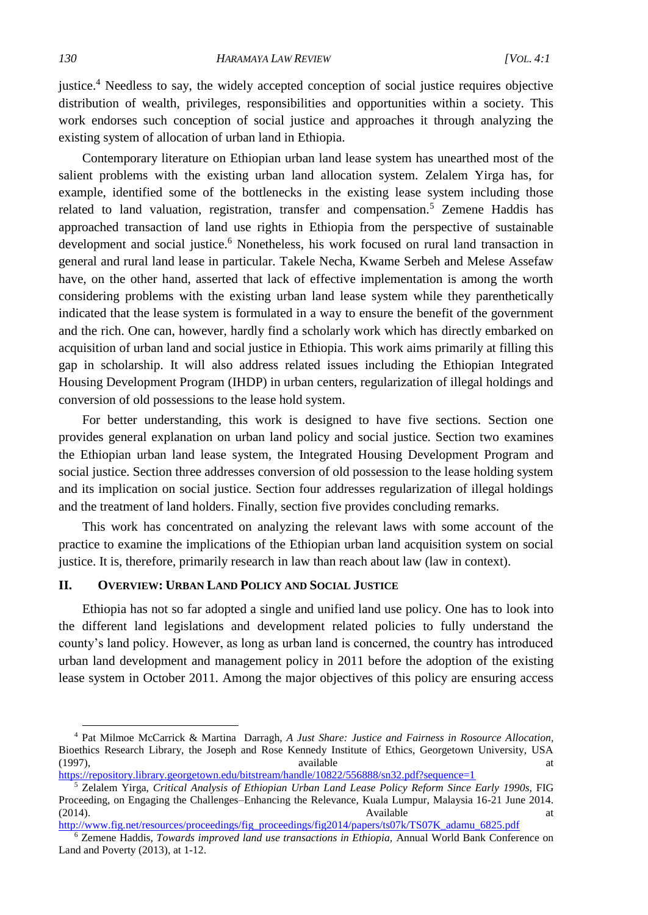justice.<sup>4</sup> Needless to say, the widely accepted conception of social justice requires objective distribution of wealth, privileges, responsibilities and opportunities within a society. This work endorses such conception of social justice and approaches it through analyzing the existing system of allocation of urban land in Ethiopia.

Contemporary literature on Ethiopian urban land lease system has unearthed most of the salient problems with the existing urban land allocation system. Zelalem Yirga has, for example, identified some of the bottlenecks in the existing lease system including those related to land valuation, registration, transfer and compensation.<sup>5</sup> Zemene Haddis has approached transaction of land use rights in Ethiopia from the perspective of sustainable development and social justice.<sup>6</sup> Nonetheless, his work focused on rural land transaction in general and rural land lease in particular. Takele Necha, Kwame Serbeh and Melese Assefaw have, on the other hand, asserted that lack of effective implementation is among the worth considering problems with the existing urban land lease system while they parenthetically indicated that the lease system is formulated in a way to ensure the benefit of the government and the rich. One can, however, hardly find a scholarly work which has directly embarked on acquisition of urban land and social justice in Ethiopia. This work aims primarily at filling this gap in scholarship. It will also address related issues including the Ethiopian Integrated Housing Development Program (IHDP) in urban centers, regularization of illegal holdings and conversion of old possessions to the lease hold system.

For better understanding, this work is designed to have five sections. Section one provides general explanation on urban land policy and social justice. Section two examines the Ethiopian urban land lease system, the Integrated Housing Development Program and social justice. Section three addresses conversion of old possession to the lease holding system and its implication on social justice. Section four addresses regularization of illegal holdings and the treatment of land holders. Finally, section five provides concluding remarks.

This work has concentrated on analyzing the relevant laws with some account of the practice to examine the implications of the Ethiopian urban land acquisition system on social justice. It is, therefore, primarily research in law than reach about law (law in context).

### **II. OVERVIEW: URBAN LAND POLICY AND SOCIAL JUSTICE**

Ethiopia has not so far adopted a single and unified land use policy. One has to look into the different land legislations and development related policies to fully understand the county's land policy. However, as long as urban land is concerned, the country has introduced urban land development and management policy in 2011 before the adoption of the existing lease system in October 2011. Among the major objectives of this policy are ensuring access

<sup>4</sup> Pat Milmoe McCarrick & Martina Darragh, *A Just Share: Justice and Fairness in Rosource Allocation,* Bioethics Research Library, the Joseph and Rose Kennedy Institute of Ethics, Georgetown University, USA (1997), available at

<https://repository.library.georgetown.edu/bitstream/handle/10822/556888/sn32.pdf?sequence=1>

<sup>5</sup> Zelalem Yirga, *Critical Analysis of Ethiopian Urban Land Lease Policy Reform Since Early 1990s,* FIG Proceeding, on Engaging the Challenges–Enhancing the Relevance, Kuala Lumpur, Malaysia 16-21 June 2014. (2014). **Available** at the attention of the state at the state at the state at the state at the state at the state at the state at the state at the state at the state at the state at the state at the state at the state at

[http://www.fig.net/resources/proceedings/fig\\_proceedings/fig2014/papers/ts07k/TS07K\\_adamu\\_6825.pdf](http://www.fig.net/resources/proceedings/fig_proceedings/fig2014/papers/ts07k/TS07K_adamu_6825.pdf)

<sup>6</sup> Zemene Haddis, *Towards improved land use transactions in Ethiopia,* Annual World Bank Conference on Land and Poverty (2013), at 1-12.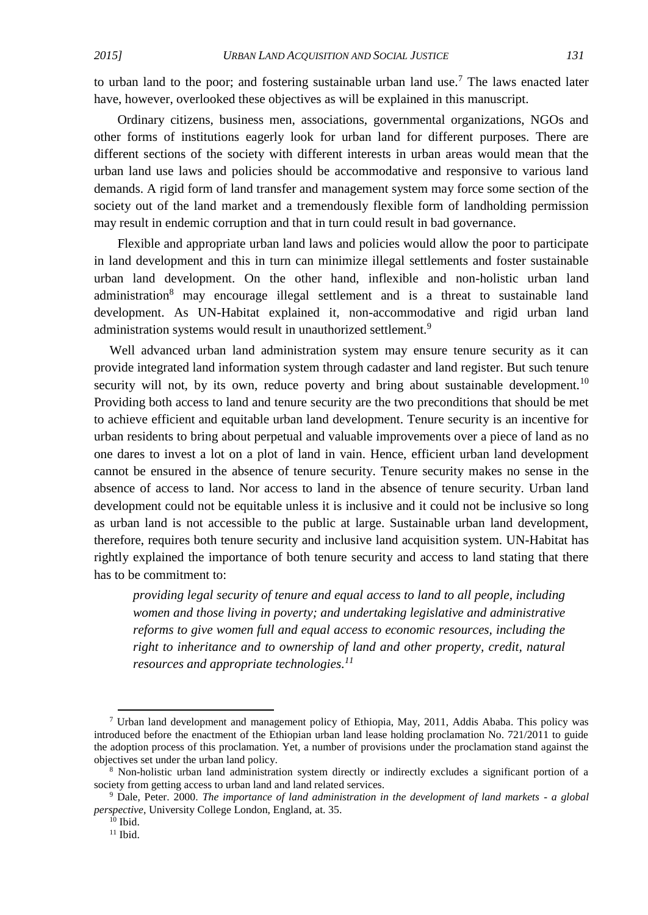to urban land to the poor; and fostering sustainable urban land use.<sup>7</sup> The laws enacted later have, however, overlooked these objectives as will be explained in this manuscript.

Ordinary citizens, business men, associations, governmental organizations, NGOs and other forms of institutions eagerly look for urban land for different purposes. There are different sections of the society with different interests in urban areas would mean that the urban land use laws and policies should be accommodative and responsive to various land demands. A rigid form of land transfer and management system may force some section of the society out of the land market and a tremendously flexible form of landholding permission may result in endemic corruption and that in turn could result in bad governance.

Flexible and appropriate urban land laws and policies would allow the poor to participate in land development and this in turn can minimize illegal settlements and foster sustainable urban land development. On the other hand, inflexible and non-holistic urban land administration<sup>8</sup> may encourage illegal settlement and is a threat to sustainable land development. As UN-Habitat explained it, non-accommodative and rigid urban land administration systems would result in unauthorized settlement.<sup>9</sup>

Well advanced urban land administration system may ensure tenure security as it can provide integrated land information system through cadaster and land register. But such tenure security will not, by its own, reduce poverty and bring about sustainable development.<sup>10</sup> Providing both access to land and tenure security are the two preconditions that should be met to achieve efficient and equitable urban land development. Tenure security is an incentive for urban residents to bring about perpetual and valuable improvements over a piece of land as no one dares to invest a lot on a plot of land in vain. Hence, efficient urban land development cannot be ensured in the absence of tenure security. Tenure security makes no sense in the absence of access to land. Nor access to land in the absence of tenure security. Urban land development could not be equitable unless it is inclusive and it could not be inclusive so long as urban land is not accessible to the public at large. Sustainable urban land development, therefore, requires both tenure security and inclusive land acquisition system. UN-Habitat has rightly explained the importance of both tenure security and access to land stating that there has to be commitment to:

*providing legal security of tenure and equal access to land to all people, including women and those living in poverty; and undertaking legislative and administrative reforms to give women full and equal access to economic resources, including the right to inheritance and to ownership of land and other property, credit, natural resources and appropriate technologies. 11*

1

<sup>7</sup> Urban land development and management policy of Ethiopia, May, 2011, Addis Ababa. This policy was introduced before the enactment of the Ethiopian urban land lease holding proclamation No. 721/2011 to guide the adoption process of this proclamation. Yet, a number of provisions under the proclamation stand against the objectives set under the urban land policy.

<sup>8</sup> Non-holistic urban land administration system directly or indirectly excludes a significant portion of a society from getting access to urban land and land related services.

<sup>9</sup> Dale, Peter. 2000. *The importance of land administration in the development of land markets - a global perspective*, University College London, England, at. 35.

 $10$  Ibid.

 $11$  Ibid.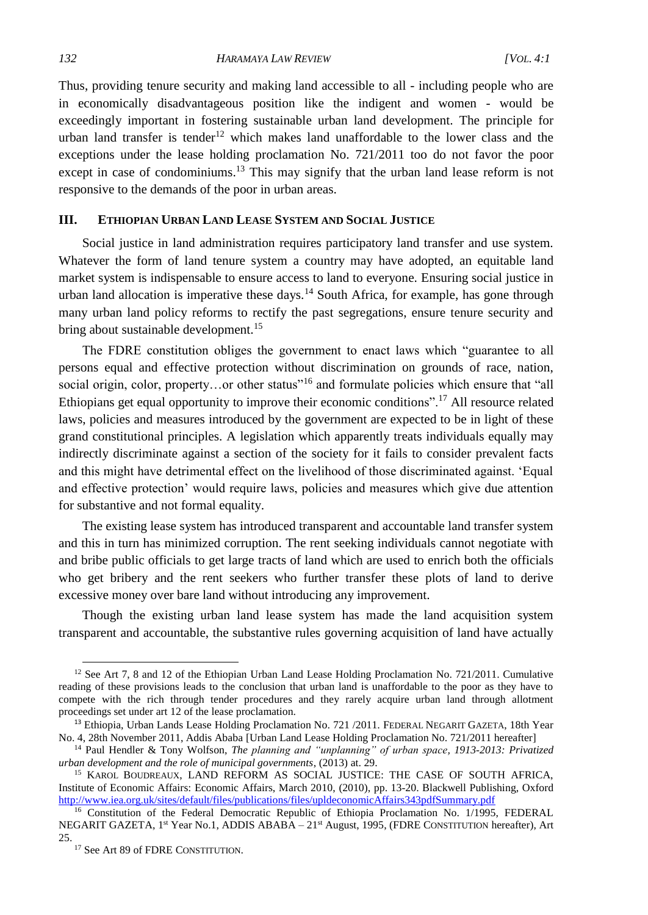Thus, providing tenure security and making land accessible to all - including people who are in economically disadvantageous position like the indigent and women - would be exceedingly important in fostering sustainable urban land development. The principle for urban land transfer is tender<sup>12</sup> which makes land unaffordable to the lower class and the exceptions under the lease holding proclamation No. 721/2011 too do not favor the poor except in case of condominiums.<sup>13</sup> This may signify that the urban land lease reform is not responsive to the demands of the poor in urban areas.

### **III. ETHIOPIAN URBAN LAND LEASE SYSTEM AND SOCIAL JUSTICE**

Social justice in land administration requires participatory land transfer and use system. Whatever the form of land tenure system a country may have adopted, an equitable land market system is indispensable to ensure access to land to everyone. Ensuring social justice in urban land allocation is imperative these days.<sup>14</sup> South Africa, for example, has gone through many urban land policy reforms to rectify the past segregations, ensure tenure security and bring about sustainable development.<sup>15</sup>

The FDRE constitution obliges the government to enact laws which "guarantee to all persons equal and effective protection without discrimination on grounds of race, nation, social origin, color, property...or other status"<sup>16</sup> and formulate policies which ensure that "all Ethiopians get equal opportunity to improve their economic conditions".<sup>17</sup> All resource related laws, policies and measures introduced by the government are expected to be in light of these grand constitutional principles. A legislation which apparently treats individuals equally may indirectly discriminate against a section of the society for it fails to consider prevalent facts and this might have detrimental effect on the livelihood of those discriminated against. 'Equal and effective protection' would require laws, policies and measures which give due attention for substantive and not formal equality.

The existing lease system has introduced transparent and accountable land transfer system and this in turn has minimized corruption. The rent seeking individuals cannot negotiate with and bribe public officials to get large tracts of land which are used to enrich both the officials who get bribery and the rent seekers who further transfer these plots of land to derive excessive money over bare land without introducing any improvement.

Though the existing urban land lease system has made the land acquisition system transparent and accountable, the substantive rules governing acquisition of land have actually

<sup>&</sup>lt;sup>12</sup> See Art 7, 8 and 12 of the Ethiopian Urban Land Lease Holding Proclamation No. 721/2011. Cumulative reading of these provisions leads to the conclusion that urban land is unaffordable to the poor as they have to compete with the rich through tender procedures and they rarely acquire urban land through allotment proceedings set under art 12 of the lease proclamation.

<sup>&</sup>lt;sup>13</sup> Ethiopia, Urban Lands Lease Holding Proclamation No. 721 /2011. FEDERAL NEGARIT GAZETA, 18th Year No. 4, 28th November 2011, Addis Ababa [Urban Land Lease Holding Proclamation No. 721/2011 hereafter]

<sup>14</sup> Paul Hendler & Tony Wolfson, *The planning and "unplanning" of urban space, 1913-2013: Privatized urban development and the role of municipal governments*, (2013) at. 29.

<sup>&</sup>lt;sup>15</sup> KAROL BOUDREAUX, LAND REFORM AS SOCIAL JUSTICE: THE CASE OF SOUTH AFRICA, Institute of Economic Affairs: Economic Affairs, March 2010, (2010), pp. 13-20. Blackwell Publishing, Oxford <http://www.iea.org.uk/sites/default/files/publications/files/upldeconomicAffairs343pdfSummary.pdf>

<sup>&</sup>lt;sup>16</sup> Constitution of the Federal Democratic Republic of Ethiopia Proclamation No. 1/1995, FEDERAL NEGARIT GAZETA, 1<sup>st</sup> Year No.1, ADDIS ABABA – 21<sup>st</sup> August, 1995, (FDRE CONSTITUTION hereafter), Art 25.

<sup>&</sup>lt;sup>17</sup> See Art 89 of FDRE CONSTITUTION.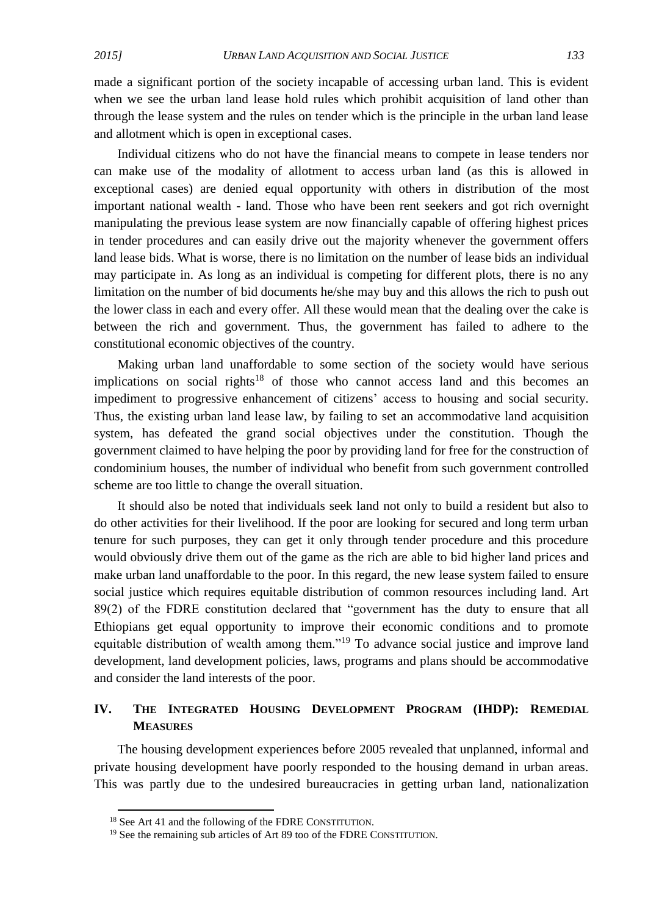made a significant portion of the society incapable of accessing urban land. This is evident when we see the urban land lease hold rules which prohibit acquisition of land other than through the lease system and the rules on tender which is the principle in the urban land lease and allotment which is open in exceptional cases.

Individual citizens who do not have the financial means to compete in lease tenders nor can make use of the modality of allotment to access urban land (as this is allowed in exceptional cases) are denied equal opportunity with others in distribution of the most important national wealth - land. Those who have been rent seekers and got rich overnight manipulating the previous lease system are now financially capable of offering highest prices in tender procedures and can easily drive out the majority whenever the government offers land lease bids. What is worse, there is no limitation on the number of lease bids an individual may participate in. As long as an individual is competing for different plots, there is no any limitation on the number of bid documents he/she may buy and this allows the rich to push out the lower class in each and every offer. All these would mean that the dealing over the cake is between the rich and government. Thus, the government has failed to adhere to the constitutional economic objectives of the country.

Making urban land unaffordable to some section of the society would have serious implications on social rights<sup>18</sup> of those who cannot access land and this becomes an impediment to progressive enhancement of citizens' access to housing and social security. Thus, the existing urban land lease law, by failing to set an accommodative land acquisition system, has defeated the grand social objectives under the constitution. Though the government claimed to have helping the poor by providing land for free for the construction of condominium houses, the number of individual who benefit from such government controlled scheme are too little to change the overall situation.

It should also be noted that individuals seek land not only to build a resident but also to do other activities for their livelihood. If the poor are looking for secured and long term urban tenure for such purposes, they can get it only through tender procedure and this procedure would obviously drive them out of the game as the rich are able to bid higher land prices and make urban land unaffordable to the poor. In this regard, the new lease system failed to ensure social justice which requires equitable distribution of common resources including land. Art 89(2) of the FDRE constitution declared that "government has the duty to ensure that all Ethiopians get equal opportunity to improve their economic conditions and to promote equitable distribution of wealth among them."<sup>19</sup> To advance social justice and improve land development, land development policies, laws, programs and plans should be accommodative and consider the land interests of the poor.

## **IV. THE INTEGRATED HOUSING DEVELOPMENT PROGRAM (IHDP): REMEDIAL MEASURES**

The housing development experiences before 2005 revealed that unplanned, informal and private housing development have poorly responded to the housing demand in urban areas. This was partly due to the undesired bureaucracies in getting urban land, nationalization

**.** 

<sup>18</sup> See Art 41 and the following of the FDRE CONSTITUTION.

<sup>&</sup>lt;sup>19</sup> See the remaining sub articles of Art 89 too of the FDRE CONSTITUTION.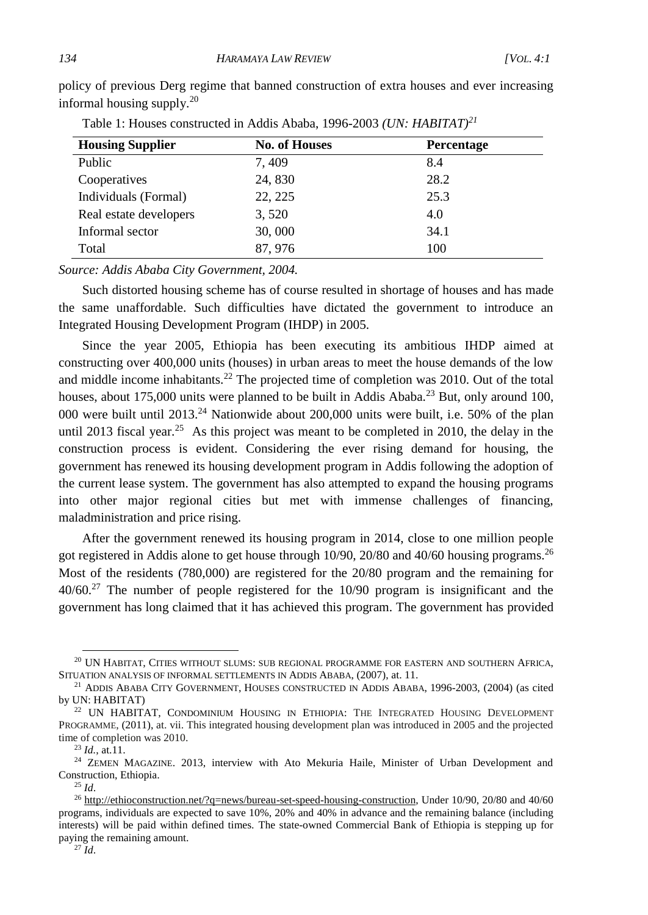| Table 1. Houses constructed in Addis Ababa, 1990-2009 (ON, HADHAT) |                      |            |
|--------------------------------------------------------------------|----------------------|------------|
| <b>Housing Supplier</b>                                            | <b>No. of Houses</b> | Percentage |
| Public                                                             | 7,409                | 8.4        |
| Cooperatives                                                       | 24,830               | 28.2       |
| Individuals (Formal)                                               | 22, 225              | 25.3       |
| Real estate developers                                             | 3,520                | 4.0        |
| Informal sector                                                    | 30,000               | 34.1       |
| Total                                                              | 87, 976              | 100        |

policy of previous Derg regime that banned construction of extra houses and ever increasing informal housing supply. 20

Table 1: Houses constructed in Addis Ababa, 1996-2003 *(UN: HABITAT)<sup>21</sup>* 

*Source: Addis Ababa City Government, 2004.* 

Such distorted housing scheme has of course resulted in shortage of houses and has made the same unaffordable. Such difficulties have dictated the government to introduce an Integrated Housing Development Program (IHDP) in 2005.

Since the year 2005, Ethiopia has been executing its ambitious IHDP aimed at constructing over 400,000 units (houses) in urban areas to meet the house demands of the low and middle income inhabitants.<sup>22</sup> The projected time of completion was 2010. Out of the total houses, about 175,000 units were planned to be built in Addis Ababa.<sup>23</sup> But, only around 100, 000 were built until 2013.<sup>24</sup> Nationwide about 200,000 units were built, i.e. 50% of the plan until 2013 fiscal year.<sup>25</sup> As this project was meant to be completed in 2010, the delay in the construction process is evident. Considering the ever rising demand for housing, the government has renewed its housing development program in Addis following the adoption of the current lease system. The government has also attempted to expand the housing programs into other major regional cities but met with immense challenges of financing, maladministration and price rising.

After the government renewed its housing program in 2014, close to one million people got registered in Addis alone to get house through 10/90, 20/80 and 40/60 housing programs.<sup>26</sup> Most of the residents (780,000) are registered for the 20/80 program and the remaining for 40/60.<sup>27</sup> The number of people registered for the 10/90 program is insignificant and the government has long claimed that it has achieved this program. The government has provided

<sup>20</sup> UN HABITAT, CITIES WITHOUT SLUMS: SUB REGIONAL PROGRAMME FOR EASTERN AND SOUTHERN AFRICA, SITUATION ANALYSIS OF INFORMAL SETTLEMENTS IN ADDIS ABABA, (2007), at. 11.

<sup>&</sup>lt;sup>21</sup> ADDIS ABABA CITY GOVERNMENT, HOUSES CONSTRUCTED IN ADDIS ABABA, 1996-2003, (2004) (as cited by UN: HABITAT)

<sup>&</sup>lt;sup>22</sup> UN HABITAT, CONDOMINIUM HOUSING IN ETHIOPIA: THE INTEGRATED HOUSING DEVELOPMENT PROGRAMME, (2011), at. vii. This integrated housing development plan was introduced in 2005 and the projected time of completion was 2010.

<sup>23</sup> *Id.*, at.11.

<sup>&</sup>lt;sup>24</sup> ZEMEN MAGAZINE. 2013, interview with Ato Mekuria Haile, Minister of Urban Development and Construction, Ethiopia.

<sup>25</sup> *Id*.

<sup>&</sup>lt;sup>26</sup> [http://ethioconstruction.net/?q=news/bureau-set-speed-housing-construction,](http://ethioconstruction.net/?q=news/bureau-set-speed-housing-construction) Under 10/90, 20/80 and 40/60 programs, individuals are expected to save 10%, 20% and 40% in advance and the remaining balance (including interests) will be paid within defined times. The state-owned Commercial Bank of Ethiopia is stepping up for paying the remaining amount.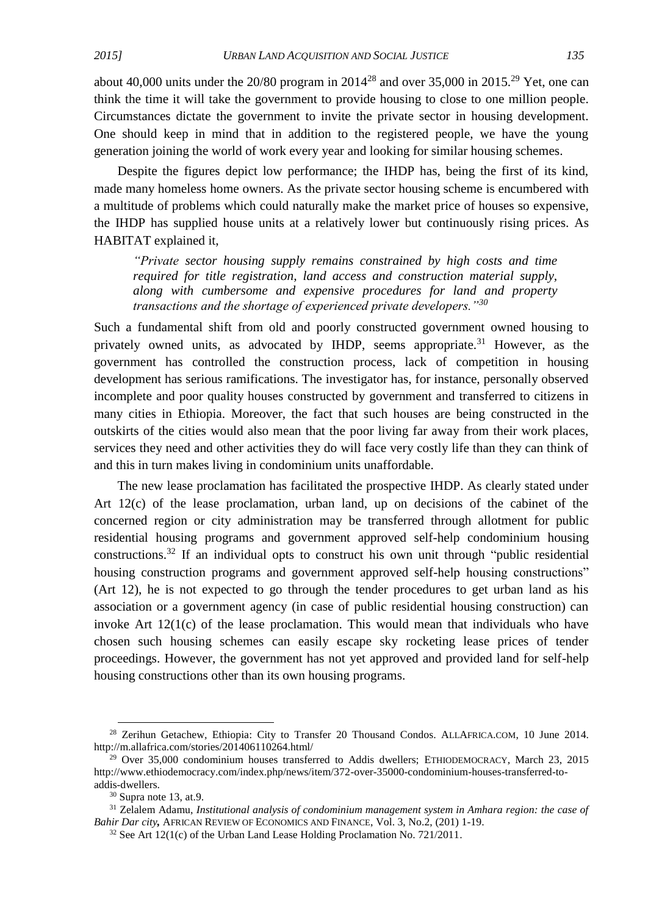about 40,000 units under the  $20/80$  program in  $2014^{28}$  and over 35,000 in  $2015^{29}$  Yet, one can think the time it will take the government to provide housing to close to one million people. Circumstances dictate the government to invite the private sector in housing development. One should keep in mind that in addition to the registered people, we have the young generation joining the world of work every year and looking for similar housing schemes.

Despite the figures depict low performance; the IHDP has, being the first of its kind, made many homeless home owners. As the private sector housing scheme is encumbered with a multitude of problems which could naturally make the market price of houses so expensive, the IHDP has supplied house units at a relatively lower but continuously rising prices. As HABITAT explained it,

*"Private sector housing supply remains constrained by high costs and time required for title registration, land access and construction material supply, along with cumbersome and expensive procedures for land and property transactions and the shortage of experienced private developers."<sup>30</sup>*

Such a fundamental shift from old and poorly constructed government owned housing to privately owned units, as advocated by IHDP, seems appropriate.<sup>31</sup> However, as the government has controlled the construction process, lack of competition in housing development has serious ramifications. The investigator has, for instance, personally observed incomplete and poor quality houses constructed by government and transferred to citizens in many cities in Ethiopia. Moreover, the fact that such houses are being constructed in the outskirts of the cities would also mean that the poor living far away from their work places, services they need and other activities they do will face very costly life than they can think of and this in turn makes living in condominium units unaffordable.

The new lease proclamation has facilitated the prospective IHDP. As clearly stated under Art 12(c) of the lease proclamation, urban land, up on decisions of the cabinet of the concerned region or city administration may be transferred through allotment for public residential housing programs and government approved self-help condominium housing constructions.<sup>32</sup> If an individual opts to construct his own unit through "public residential housing construction programs and government approved self-help housing constructions" (Art 12), he is not expected to go through the tender procedures to get urban land as his association or a government agency (in case of public residential housing construction) can invoke Art 12(1(c) of the lease proclamation. This would mean that individuals who have chosen such housing schemes can easily escape sky rocketing lease prices of tender proceedings. However, the government has not yet approved and provided land for self-help housing constructions other than its own housing programs.

**.** 

<sup>&</sup>lt;sup>28</sup> Zerihun Getachew, Ethiopia: City to Transfer 20 Thousand Condos. ALLAFRICA.COM, 10 June 2014. http://m.allafrica.com/stories/201406110264.html/

 $29$  Over 35,000 condominium houses transferred to Addis dwellers; ETHIODEMOCRACY, March 23, 2015 http://www.ethiodemocracy.com/index.php/news/item/372-over-35000-condominium-houses-transferred-toaddis-dwellers.

 $30$  Supra note 13, at.9.

<sup>31</sup> Zelalem Adamu, *Institutional analysis of condominium management system in Amhara region: the case of Bahir Dar city,* AFRICAN REVIEW OF ECONOMICS AND FINANCE, Vol. 3, No.2, (201) 1-19.

<sup>&</sup>lt;sup>32</sup> See Art 12(1(c) of the Urban Land Lease Holding Proclamation No. 721/2011.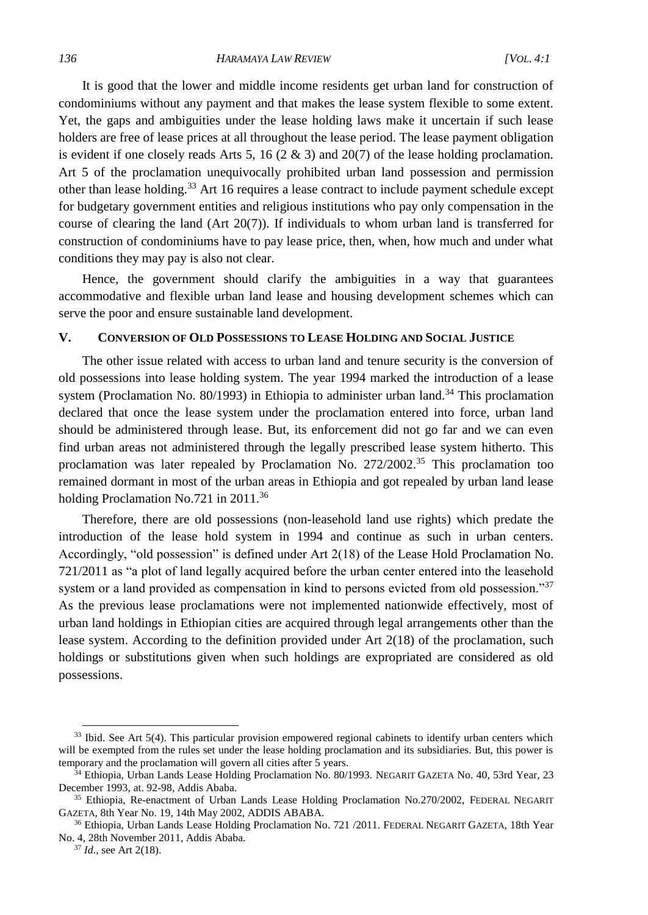It is good that the lower and middle income residents get urban land for construction of condominiums without any payment and that makes the lease system flexible to some extent. Yet, the gaps and ambiguities under the lease holding laws make it uncertain if such lease holders are free of lease prices at all throughout the lease period. The lease payment obligation is evident if one closely reads Arts 5, 16 (2 & 3) and 20(7) of the lease holding proclamation. Art 5 of the proclamation unequivocally prohibited urban land possession and permission other than lease holding.<sup>33</sup> Art 16 requires a lease contract to include payment schedule except for budgetary government entities and religious institutions who pay only compensation in the course of clearing the land (Art 20(7)). If individuals to whom urban land is transferred for construction of condominiums have to pay lease price, then, when, how much and under what conditions they may pay is also not clear.

Hence, the government should clarify the ambiguities in a way that guarantees accommodative and flexible urban land lease and housing development schemes which can serve the poor and ensure sustainable land development.

#### **V. CONVERSION OF OLD POSSESSIONS TO LEASE HOLDING AND SOCIAL JUSTICE**

The other issue related with access to urban land and tenure security is the conversion of old possessions into lease holding system. The year 1994 marked the introduction of a lease system (Proclamation No. 80/1993) in Ethiopia to administer urban land.<sup>34</sup> This proclamation declared that once the lease system under the proclamation entered into force, urban land should be administered through lease. But, its enforcement did not go far and we can even find urban areas not administered through the legally prescribed lease system hitherto. This proclamation was later repealed by Proclamation No. 272/2002.<sup>35</sup> This proclamation too remained dormant in most of the urban areas in Ethiopia and got repealed by urban land lease holding Proclamation No.721 in 2011.<sup>36</sup>

Therefore, there are old possessions (non-leasehold land use rights) which predate the introduction of the lease hold system in 1994 and continue as such in urban centers. Accordingly, "old possession" is defined under Art 2(18) of the Lease Hold Proclamation No. 721/2011 as "a plot of land legally acquired before the urban center entered into the leasehold system or a land provided as compensation in kind to persons evicted from old possession."<sup>37</sup> As the previous lease proclamations were not implemented nationwide effectively, most of urban land holdings in Ethiopian cities are acquired through legal arrangements other than the lease system. According to the definition provided under Art 2(18) of the proclamation, such holdings or substitutions given when such holdings are expropriated are considered as old possessions.

<sup>&</sup>lt;sup>33</sup> Ibid. See Art 5(4). This particular provision empowered regional cabinets to identify urban centers which will be exempted from the rules set under the lease holding proclamation and its subsidiaries. But, this power is temporary and the proclamation will govern all cities after 5 years.

<sup>34</sup> Ethiopia, Urban Lands Lease Holding Proclamation No. 80/1993. NEGARIT GAZETA No. 40, 53rd Year, 23 December 1993, at. 92-98, Addis Ababa.

<sup>&</sup>lt;sup>35</sup> Ethiopia, Re-enactment of Urban Lands Lease Holding Proclamation No.270/2002, FEDERAL NEGARIT GAZETA, 8th Year No. 19, 14th May 2002, ADDIS ABABA.

<sup>&</sup>lt;sup>36</sup> Ethiopia, Urban Lands Lease Holding Proclamation No. 721 / 2011. FEDERAL NEGARIT GAZETA, 18th Year No. 4, 28th November 2011, Addis Ababa.

<sup>37</sup> *Id*., see Art 2(18).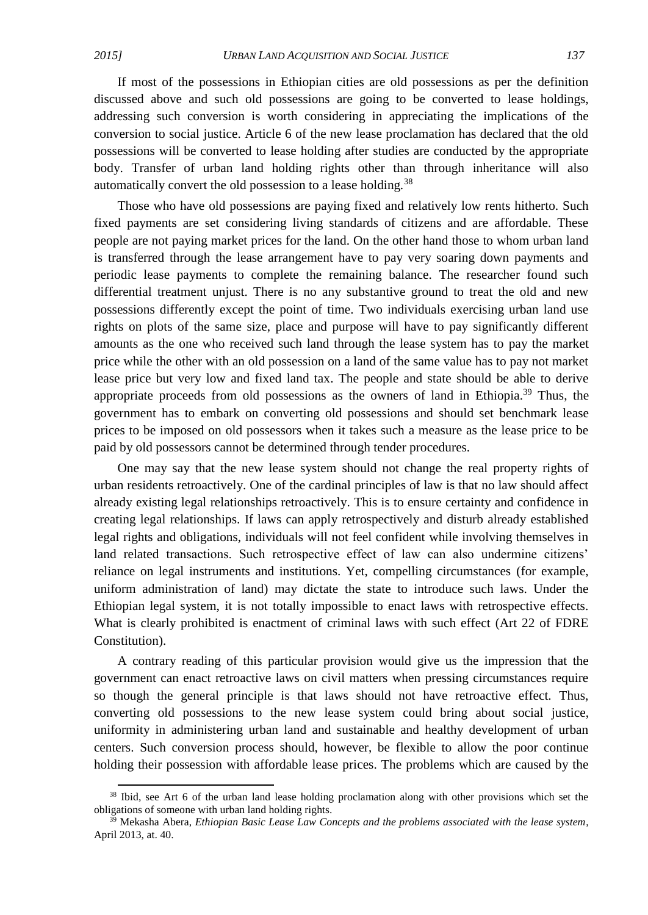1

If most of the possessions in Ethiopian cities are old possessions as per the definition discussed above and such old possessions are going to be converted to lease holdings, addressing such conversion is worth considering in appreciating the implications of the conversion to social justice. Article 6 of the new lease proclamation has declared that the old possessions will be converted to lease holding after studies are conducted by the appropriate body. Transfer of urban land holding rights other than through inheritance will also automatically convert the old possession to a lease holding*.* 38

Those who have old possessions are paying fixed and relatively low rents hitherto. Such fixed payments are set considering living standards of citizens and are affordable. These people are not paying market prices for the land. On the other hand those to whom urban land is transferred through the lease arrangement have to pay very soaring down payments and periodic lease payments to complete the remaining balance. The researcher found such differential treatment unjust. There is no any substantive ground to treat the old and new possessions differently except the point of time. Two individuals exercising urban land use rights on plots of the same size, place and purpose will have to pay significantly different amounts as the one who received such land through the lease system has to pay the market price while the other with an old possession on a land of the same value has to pay not market lease price but very low and fixed land tax. The people and state should be able to derive appropriate proceeds from old possessions as the owners of land in Ethiopia.<sup>39</sup> Thus, the government has to embark on converting old possessions and should set benchmark lease prices to be imposed on old possessors when it takes such a measure as the lease price to be paid by old possessors cannot be determined through tender procedures.

One may say that the new lease system should not change the real property rights of urban residents retroactively. One of the cardinal principles of law is that no law should affect already existing legal relationships retroactively. This is to ensure certainty and confidence in creating legal relationships. If laws can apply retrospectively and disturb already established legal rights and obligations, individuals will not feel confident while involving themselves in land related transactions. Such retrospective effect of law can also undermine citizens' reliance on legal instruments and institutions. Yet, compelling circumstances (for example, uniform administration of land) may dictate the state to introduce such laws. Under the Ethiopian legal system, it is not totally impossible to enact laws with retrospective effects. What is clearly prohibited is enactment of criminal laws with such effect (Art 22 of FDRE Constitution).

A contrary reading of this particular provision would give us the impression that the government can enact retroactive laws on civil matters when pressing circumstances require so though the general principle is that laws should not have retroactive effect. Thus, converting old possessions to the new lease system could bring about social justice, uniformity in administering urban land and sustainable and healthy development of urban centers. Such conversion process should, however, be flexible to allow the poor continue holding their possession with affordable lease prices. The problems which are caused by the

<sup>&</sup>lt;sup>38</sup> Ibid, see Art 6 of the urban land lease holding proclamation along with other provisions which set the obligations of someone with urban land holding rights.

<sup>&</sup>lt;sup>39</sup> Mekasha Abera, *Ethiopian Basic Lease Law Concepts and the problems associated with the lease system*, April 2013, at. 40.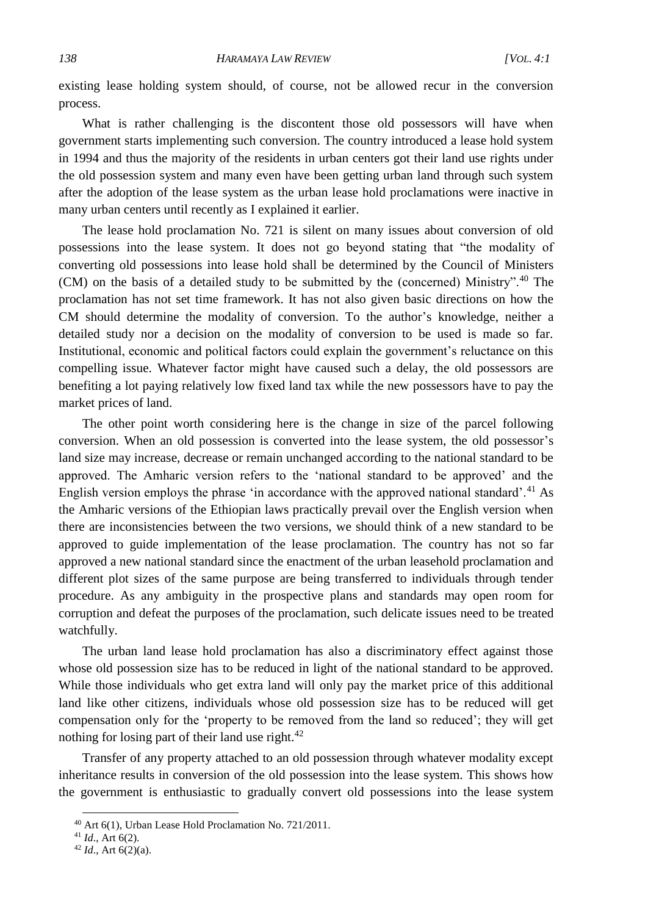existing lease holding system should, of course, not be allowed recur in the conversion process.

What is rather challenging is the discontent those old possessors will have when government starts implementing such conversion. The country introduced a lease hold system in 1994 and thus the majority of the residents in urban centers got their land use rights under the old possession system and many even have been getting urban land through such system after the adoption of the lease system as the urban lease hold proclamations were inactive in many urban centers until recently as I explained it earlier.

The lease hold proclamation No. 721 is silent on many issues about conversion of old possessions into the lease system. It does not go beyond stating that "the modality of converting old possessions into lease hold shall be determined by the Council of Ministers (CM) on the basis of a detailed study to be submitted by the (concerned) Ministry".<sup>40</sup> The proclamation has not set time framework. It has not also given basic directions on how the CM should determine the modality of conversion. To the author's knowledge, neither a detailed study nor a decision on the modality of conversion to be used is made so far. Institutional, economic and political factors could explain the government's reluctance on this compelling issue. Whatever factor might have caused such a delay, the old possessors are benefiting a lot paying relatively low fixed land tax while the new possessors have to pay the market prices of land.

The other point worth considering here is the change in size of the parcel following conversion. When an old possession is converted into the lease system, the old possessor's land size may increase, decrease or remain unchanged according to the national standard to be approved. The Amharic version refers to the 'national standard to be approved' and the English version employs the phrase 'in accordance with the approved national standard'.<sup>41</sup> As the Amharic versions of the Ethiopian laws practically prevail over the English version when there are inconsistencies between the two versions, we should think of a new standard to be approved to guide implementation of the lease proclamation. The country has not so far approved a new national standard since the enactment of the urban leasehold proclamation and different plot sizes of the same purpose are being transferred to individuals through tender procedure. As any ambiguity in the prospective plans and standards may open room for corruption and defeat the purposes of the proclamation, such delicate issues need to be treated watchfully.

The urban land lease hold proclamation has also a discriminatory effect against those whose old possession size has to be reduced in light of the national standard to be approved. While those individuals who get extra land will only pay the market price of this additional land like other citizens, individuals whose old possession size has to be reduced will get compensation only for the 'property to be removed from the land so reduced'; they will get nothing for losing part of their land use right.<sup>42</sup>

Transfer of any property attached to an old possession through whatever modality except inheritance results in conversion of the old possession into the lease system. This shows how the government is enthusiastic to gradually convert old possessions into the lease system

<sup>40</sup> Art 6(1), Urban Lease Hold Proclamation No. 721/2011.

<sup>41</sup> *Id*., Art 6(2).

<sup>42</sup> *Id*., Art 6(2)(a).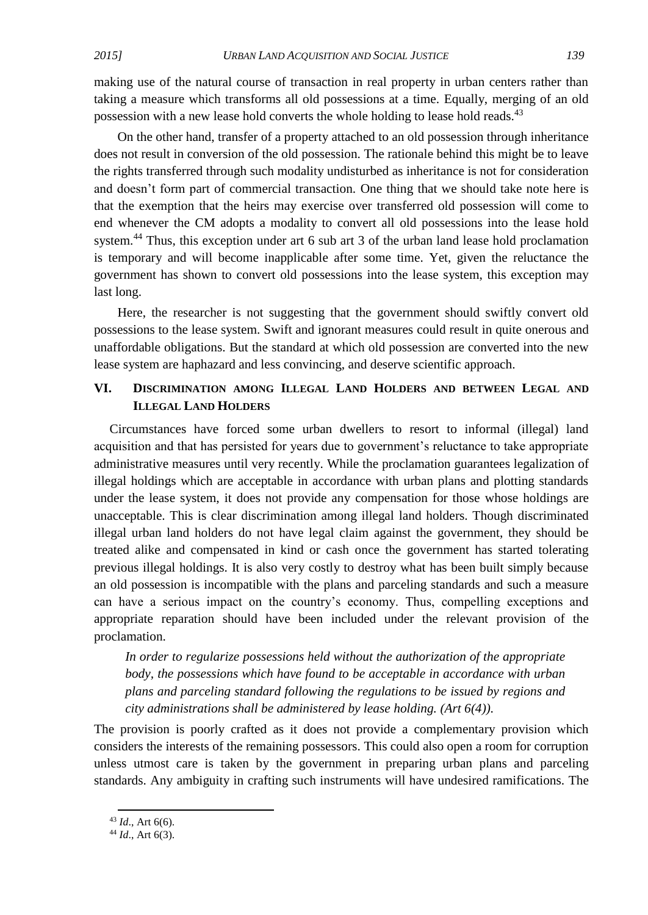making use of the natural course of transaction in real property in urban centers rather than taking a measure which transforms all old possessions at a time. Equally, merging of an old possession with a new lease hold converts the whole holding to lease hold reads.<sup>43</sup>

On the other hand, transfer of a property attached to an old possession through inheritance does not result in conversion of the old possession. The rationale behind this might be to leave the rights transferred through such modality undisturbed as inheritance is not for consideration and doesn't form part of commercial transaction. One thing that we should take note here is that the exemption that the heirs may exercise over transferred old possession will come to end whenever the CM adopts a modality to convert all old possessions into the lease hold system.<sup>44</sup> Thus, this exception under art 6 sub art 3 of the urban land lease hold proclamation is temporary and will become inapplicable after some time. Yet, given the reluctance the government has shown to convert old possessions into the lease system, this exception may last long.

Here, the researcher is not suggesting that the government should swiftly convert old possessions to the lease system. Swift and ignorant measures could result in quite onerous and unaffordable obligations. But the standard at which old possession are converted into the new lease system are haphazard and less convincing, and deserve scientific approach.

# **VI. DISCRIMINATION AMONG ILLEGAL LAND HOLDERS AND BETWEEN LEGAL AND ILLEGAL LAND HOLDERS**

Circumstances have forced some urban dwellers to resort to informal (illegal) land acquisition and that has persisted for years due to government's reluctance to take appropriate administrative measures until very recently. While the proclamation guarantees legalization of illegal holdings which are acceptable in accordance with urban plans and plotting standards under the lease system, it does not provide any compensation for those whose holdings are unacceptable. This is clear discrimination among illegal land holders. Though discriminated illegal urban land holders do not have legal claim against the government, they should be treated alike and compensated in kind or cash once the government has started tolerating previous illegal holdings. It is also very costly to destroy what has been built simply because an old possession is incompatible with the plans and parceling standards and such a measure can have a serious impact on the country's economy. Thus, compelling exceptions and appropriate reparation should have been included under the relevant provision of the proclamation.

*In order to regularize possessions held without the authorization of the appropriate body, the possessions which have found to be acceptable in accordance with urban plans and parceling standard following the regulations to be issued by regions and city administrations shall be administered by lease holding. (Art 6(4)).*

The provision is poorly crafted as it does not provide a complementary provision which considers the interests of the remaining possessors. This could also open a room for corruption unless utmost care is taken by the government in preparing urban plans and parceling standards. Any ambiguity in crafting such instruments will have undesired ramifications. The

**.** 

<sup>43</sup> *Id*., Art 6(6).

<sup>44</sup> *Id*., Art 6(3).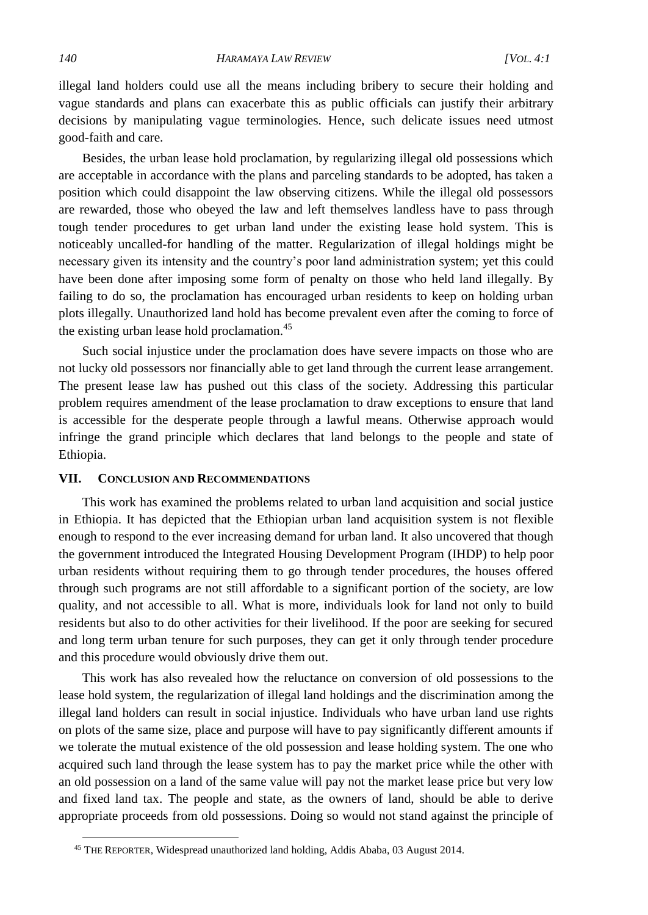illegal land holders could use all the means including bribery to secure their holding and vague standards and plans can exacerbate this as public officials can justify their arbitrary decisions by manipulating vague terminologies. Hence, such delicate issues need utmost good-faith and care.

Besides, the urban lease hold proclamation, by regularizing illegal old possessions which are acceptable in accordance with the plans and parceling standards to be adopted, has taken a position which could disappoint the law observing citizens. While the illegal old possessors are rewarded, those who obeyed the law and left themselves landless have to pass through tough tender procedures to get urban land under the existing lease hold system. This is noticeably uncalled-for handling of the matter. Regularization of illegal holdings might be necessary given its intensity and the country's poor land administration system; yet this could have been done after imposing some form of penalty on those who held land illegally. By failing to do so, the proclamation has encouraged urban residents to keep on holding urban plots illegally. Unauthorized land hold has become prevalent even after the coming to force of the existing urban lease hold proclamation.<sup>45</sup>

Such social injustice under the proclamation does have severe impacts on those who are not lucky old possessors nor financially able to get land through the current lease arrangement. The present lease law has pushed out this class of the society. Addressing this particular problem requires amendment of the lease proclamation to draw exceptions to ensure that land is accessible for the desperate people through a lawful means. Otherwise approach would infringe the grand principle which declares that land belongs to the people and state of Ethiopia.

#### **VII. CONCLUSION AND RECOMMENDATIONS**

This work has examined the problems related to urban land acquisition and social justice in Ethiopia. It has depicted that the Ethiopian urban land acquisition system is not flexible enough to respond to the ever increasing demand for urban land. It also uncovered that though the government introduced the Integrated Housing Development Program (IHDP) to help poor urban residents without requiring them to go through tender procedures, the houses offered through such programs are not still affordable to a significant portion of the society, are low quality, and not accessible to all. What is more, individuals look for land not only to build residents but also to do other activities for their livelihood. If the poor are seeking for secured and long term urban tenure for such purposes, they can get it only through tender procedure and this procedure would obviously drive them out.

This work has also revealed how the reluctance on conversion of old possessions to the lease hold system, the regularization of illegal land holdings and the discrimination among the illegal land holders can result in social injustice. Individuals who have urban land use rights on plots of the same size, place and purpose will have to pay significantly different amounts if we tolerate the mutual existence of the old possession and lease holding system. The one who acquired such land through the lease system has to pay the market price while the other with an old possession on a land of the same value will pay not the market lease price but very low and fixed land tax. The people and state, as the owners of land, should be able to derive appropriate proceeds from old possessions. Doing so would not stand against the principle of

<sup>45</sup> THE REPORTER, Widespread unauthorized land holding, Addis Ababa, 03 August 2014.